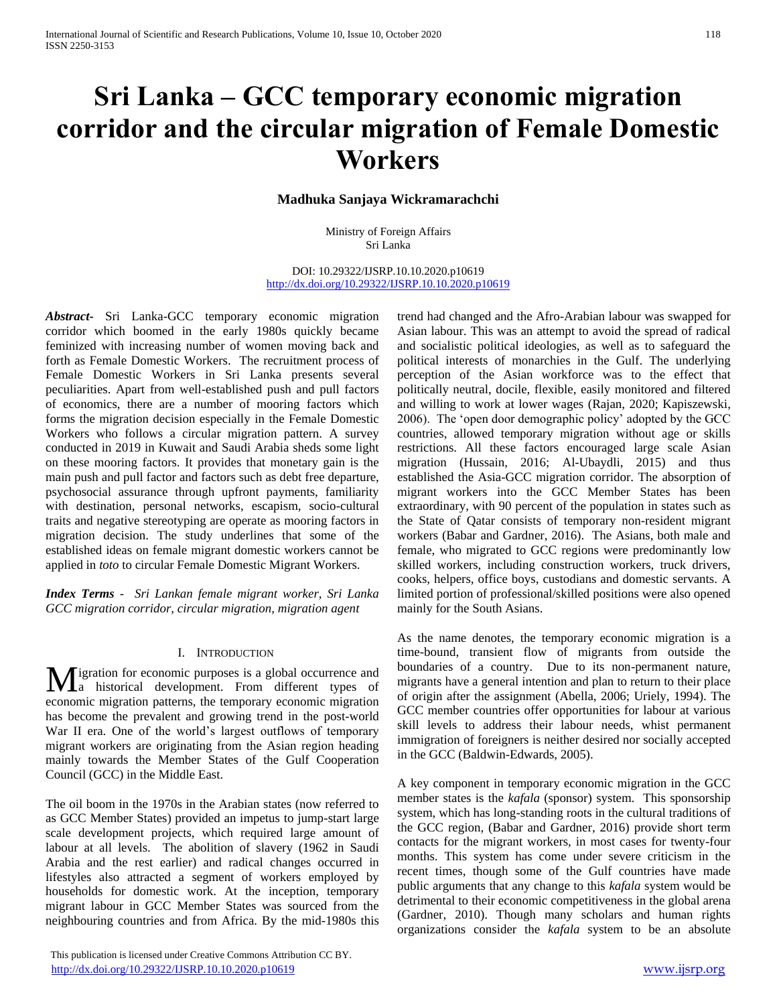# **Sri Lanka – GCC temporary economic migration corridor and the circular migration of Female Domestic Workers**

## **Madhuka Sanjaya Wickramarachchi**

Ministry of Foreign Affairs Sri Lanka

DOI: 10.29322/IJSRP.10.10.2020.p10619 <http://dx.doi.org/10.29322/IJSRP.10.10.2020.p10619>

*Abstract***-** Sri Lanka-GCC temporary economic migration corridor which boomed in the early 1980s quickly became feminized with increasing number of women moving back and forth as Female Domestic Workers. The recruitment process of Female Domestic Workers in Sri Lanka presents several peculiarities. Apart from well-established push and pull factors of economics, there are a number of mooring factors which forms the migration decision especially in the Female Domestic Workers who follows a circular migration pattern. A survey conducted in 2019 in Kuwait and Saudi Arabia sheds some light on these mooring factors. It provides that monetary gain is the main push and pull factor and factors such as debt free departure, psychosocial assurance through upfront payments, familiarity with destination, personal networks, escapism, socio-cultural traits and negative stereotyping are operate as mooring factors in migration decision. The study underlines that some of the established ideas on female migrant domestic workers cannot be applied in *toto* to circular Female Domestic Migrant Workers.

*Index Terms* - *Sri Lankan female migrant worker, Sri Lanka GCC migration corridor, circular migration, migration agent*

#### I. INTRODUCTION

igration for economic purposes is a global occurrence and **M** igration for economic purposes is a global occurrence and a historical development. From different types of economic migration patterns, the temporary economic migration has become the prevalent and growing trend in the post-world War II era. One of the world's largest outflows of temporary migrant workers are originating from the Asian region heading mainly towards the Member States of the Gulf Cooperation Council (GCC) in the Middle East.

The oil boom in the 1970s in the Arabian states (now referred to as GCC Member States) provided an impetus to jump-start large scale development projects, which required large amount of labour at all levels. The abolition of slavery (1962 in Saudi Arabia and the rest earlier) and radical changes occurred in lifestyles also attracted a segment of workers employed by households for domestic work. At the inception, temporary migrant labour in GCC Member States was sourced from the neighbouring countries and from Africa. By the mid-1980s this

 This publication is licensed under Creative Commons Attribution CC BY. <http://dx.doi.org/10.29322/IJSRP.10.10.2020.p10619> [www.ijsrp.org](http://ijsrp.org/)

trend had changed and the Afro-Arabian labour was swapped for Asian labour. This was an attempt to avoid the spread of radical and socialistic political ideologies, as well as to safeguard the political interests of monarchies in the Gulf. The underlying perception of the Asian workforce was to the effect that politically neutral, docile, flexible, easily monitored and filtered and willing to work at lower wages (Rajan, 2020; Kapiszewski, 2006). The 'open door demographic policy' adopted by the GCC countries, allowed temporary migration without age or skills restrictions. All these factors encouraged large scale Asian migration (Hussain, 2016; Al-Ubaydli, 2015) and thus established the Asia-GCC migration corridor. The absorption of migrant workers into the GCC Member States has been extraordinary, with 90 percent of the population in states such as the State of Qatar consists of temporary non-resident migrant workers (Babar and Gardner, 2016). The Asians, both male and female, who migrated to GCC regions were predominantly low skilled workers, including construction workers, truck drivers, cooks, helpers, office boys, custodians and domestic servants. A limited portion of professional/skilled positions were also opened mainly for the South Asians.

As the name denotes, the temporary economic migration is a time-bound, transient flow of migrants from outside the boundaries of a country. Due to its non-permanent nature, migrants have a general intention and plan to return to their place of origin after the assignment (Abella, 2006; Uriely, 1994). The GCC member countries offer opportunities for labour at various skill levels to address their labour needs, whist permanent immigration of foreigners is neither desired nor socially accepted in the GCC (Baldwin-Edwards, 2005).

A key component in temporary economic migration in the GCC member states is the *kafala* (sponsor) system. This sponsorship system, which has long-standing roots in the cultural traditions of the GCC region, (Babar and Gardner, 2016) provide short term contacts for the migrant workers, in most cases for twenty-four months. This system has come under severe criticism in the recent times, though some of the Gulf countries have made public arguments that any change to this *kafala* system would be detrimental to their economic competitiveness in the global arena (Gardner, 2010). Though many scholars and human rights organizations consider the *kafala* system to be an absolute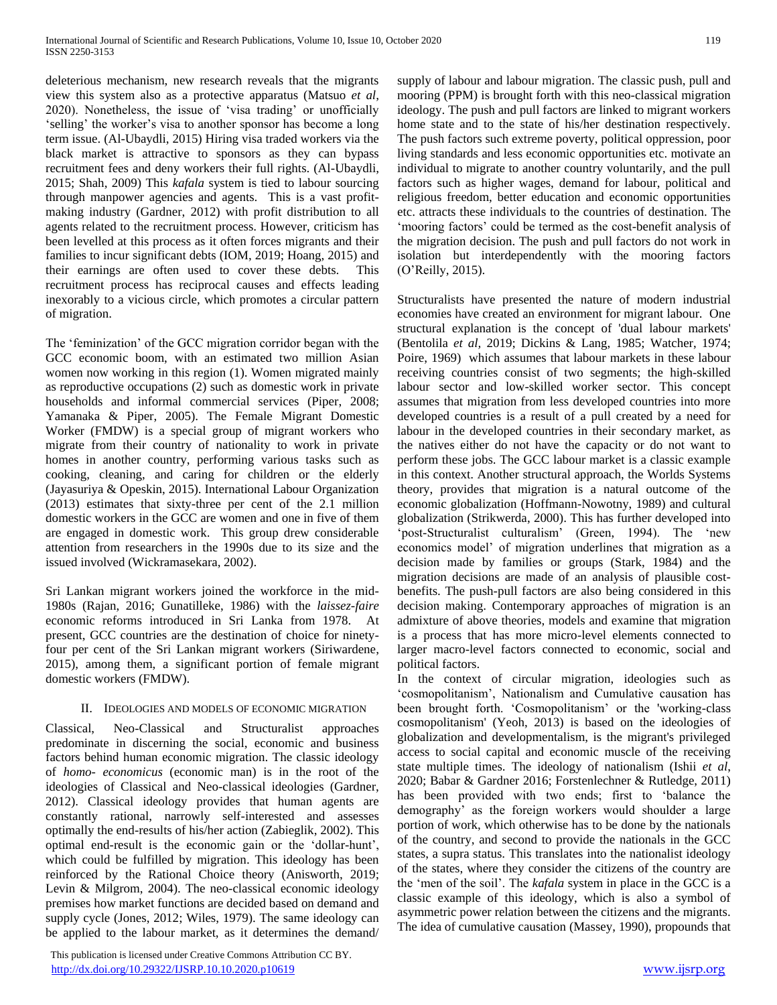deleterious mechanism, new research reveals that the migrants view this system also as a protective apparatus (Matsuo *et al*, 2020). Nonetheless, the issue of 'visa trading' or unofficially 'selling' the worker's visa to another sponsor has become a long term issue. (Al-Ubaydli, 2015) Hiring visa traded workers via the black market is attractive to sponsors as they can bypass recruitment fees and deny workers their full rights. (Al-Ubaydli, 2015; Shah, 2009) This *kafala* system is tied to labour sourcing through manpower agencies and agents. This is a vast profitmaking industry (Gardner, 2012) with profit distribution to all agents related to the recruitment process. However, criticism has been levelled at this process as it often forces migrants and their families to incur significant debts (IOM, 2019; Hoang, 2015) and their earnings are often used to cover these debts. This recruitment process has reciprocal causes and effects leading inexorably to a vicious circle, which promotes a circular pattern of migration.

The 'feminization' of the GCC migration corridor began with the GCC economic boom, with an estimated two million Asian women now working in this region (1). Women migrated mainly as reproductive occupations (2) such as domestic work in private households and informal commercial services (Piper, 2008; Yamanaka & Piper, 2005). The Female Migrant Domestic Worker (FMDW) is a special group of migrant workers who migrate from their country of nationality to work in private homes in another country, performing various tasks such as cooking, cleaning, and caring for children or the elderly (Jayasuriya & Opeskin, 2015). International Labour Organization (2013) estimates that sixty-three per cent of the 2.1 million domestic workers in the GCC are women and one in five of them are engaged in domestic work. This group drew considerable attention from researchers in the 1990s due to its size and the issued involved (Wickramasekara, 2002).

Sri Lankan migrant workers joined the workforce in the mid-1980s (Rajan, 2016; Gunatilleke, 1986) with the *laissez-faire* economic reforms introduced in Sri Lanka from 1978. At present, GCC countries are the destination of choice for ninetyfour per cent of the Sri Lankan migrant workers (Siriwardene, 2015), among them, a significant portion of female migrant domestic workers (FMDW).

# II. IDEOLOGIES AND MODELS OF ECONOMIC MIGRATION

Classical, Neo-Classical and Structuralist approaches predominate in discerning the social, economic and business factors behind human economic migration. The classic ideology of *homo- economicus* (economic man) is in the root of the ideologies of Classical and Neo-classical ideologies (Gardner, 2012). Classical ideology provides that human agents are constantly rational, narrowly self-interested and assesses optimally the end-results of his/her action (Zabieglik, 2002). This optimal end-result is the economic gain or the 'dollar-hunt', which could be fulfilled by migration. This ideology has been reinforced by the Rational Choice theory (Anisworth, 2019; Levin & Milgrom, 2004). The neo-classical economic ideology premises how market functions are decided based on demand and supply cycle (Jones, 2012; Wiles, 1979). The same ideology can be applied to the labour market, as it determines the demand/

 This publication is licensed under Creative Commons Attribution CC BY. <http://dx.doi.org/10.29322/IJSRP.10.10.2020.p10619> [www.ijsrp.org](http://ijsrp.org/)

supply of labour and labour migration. The classic push, pull and mooring (PPM) is brought forth with this neo-classical migration ideology. The push and pull factors are linked to migrant workers home state and to the state of his/her destination respectively. The push factors such extreme poverty, political oppression, poor living standards and less economic opportunities etc. motivate an individual to migrate to another country voluntarily, and the pull factors such as higher wages, demand for labour, political and religious freedom, better education and economic opportunities etc. attracts these individuals to the countries of destination. The 'mooring factors' could be termed as the cost-benefit analysis of the migration decision. The push and pull factors do not work in isolation but interdependently with the mooring factors (O'Reilly, 2015).

Structuralists have presented the nature of modern industrial economies have created an environment for migrant labour. One structural explanation is the concept of 'dual labour markets' (Bentolila *et al,* 2019; Dickins & Lang, 1985; Watcher, 1974; Poire, 1969) which assumes that labour markets in these labour receiving countries consist of two segments; the high-skilled labour sector and low-skilled worker sector. This concept assumes that migration from less developed countries into more developed countries is a result of a pull created by a need for labour in the developed countries in their secondary market, as the natives either do not have the capacity or do not want to perform these jobs. The GCC labour market is a classic example in this context. Another structural approach, the Worlds Systems theory, provides that migration is a natural outcome of the economic globalization (Hoffmann-Nowotny, 1989) and cultural globalization (Strikwerda, 2000). This has further developed into 'post-Structuralist culturalism' (Green, 1994). The 'new economics model' of migration underlines that migration as a decision made by families or groups (Stark, 1984) and the migration decisions are made of an analysis of plausible costbenefits. The push-pull factors are also being considered in this decision making. Contemporary approaches of migration is an admixture of above theories, models and examine that migration is a process that has more micro-level elements connected to larger macro-level factors connected to economic, social and political factors.

In the context of circular migration, ideologies such as 'cosmopolitanism', Nationalism and Cumulative causation has been brought forth. 'Cosmopolitanism' or the 'working-class cosmopolitanism' (Yeoh, 2013) is based on the ideologies of globalization and developmentalism, is the migrant's privileged access to social capital and economic muscle of the receiving state multiple times. The ideology of nationalism (Ishii *et al*, 2020; Babar & Gardner 2016; Forstenlechner & Rutledge, 2011) has been provided with two ends; first to 'balance the demography' as the foreign workers would shoulder a large portion of work, which otherwise has to be done by the nationals of the country, and second to provide the nationals in the GCC states, a supra status. This translates into the nationalist ideology of the states, where they consider the citizens of the country are the 'men of the soil'. The *kafala* system in place in the GCC is a classic example of this ideology, which is also a symbol of asymmetric power relation between the citizens and the migrants. The idea of cumulative causation (Massey, 1990), propounds that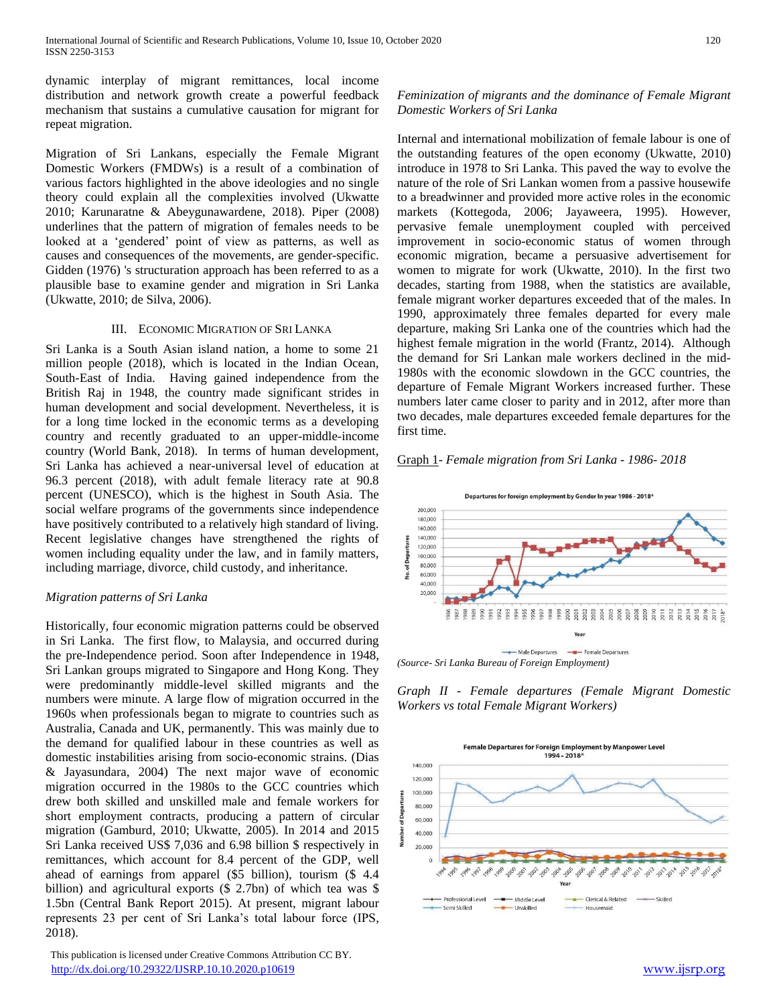dynamic interplay of migrant remittances, local income distribution and network growth create a powerful feedback mechanism that sustains a cumulative causation for migrant for repeat migration.

Migration of Sri Lankans, especially the Female Migrant Domestic Workers (FMDWs) is a result of a combination of various factors highlighted in the above ideologies and no single theory could explain all the complexities involved (Ukwatte 2010; Karunaratne & Abeygunawardene, 2018). Piper (2008) underlines that the pattern of migration of females needs to be looked at a 'gendered' point of view as patterns, as well as causes and consequences of the movements, are gender-specific. Gidden (1976) 's structuration approach has been referred to as a plausible base to examine gender and migration in Sri Lanka (Ukwatte, 2010; de Silva, 2006).

#### III. ECONOMIC MIGRATION OF SRI LANKA

Sri Lanka is a South Asian island nation, a home to some 21 million people (2018), which is located in the Indian Ocean, South-East of India. Having gained independence from the British Raj in 1948, the country made significant strides in human development and social development. Nevertheless, it is for a long time locked in the economic terms as a developing country and recently graduated to an upper-middle-income country (World Bank, 2018). In terms of human development, Sri Lanka has achieved a near-universal level of education at 96.3 percent (2018), with adult female literacy rate at 90.8 percent (UNESCO), which is the highest in South Asia. The social welfare programs of the governments since independence have positively contributed to a relatively high standard of living. Recent legislative changes have strengthened the rights of women including equality under the law, and in family matters, including marriage, divorce, child custody, and inheritance.

## *Migration patterns of Sri Lanka*

Historically, four economic migration patterns could be observed in Sri Lanka. The first flow, to Malaysia, and occurred during the pre-Independence period. Soon after Independence in 1948, Sri Lankan groups migrated to Singapore and Hong Kong. They were predominantly middle-level skilled migrants and the numbers were minute. A large flow of migration occurred in the 1960s when professionals began to migrate to countries such as Australia, Canada and UK, permanently. This was mainly due to the demand for qualified labour in these countries as well as domestic instabilities arising from socio-economic strains. (Dias & Jayasundara, 2004) The next major wave of economic migration occurred in the 1980s to the GCC countries which drew both skilled and unskilled male and female workers for short employment contracts, producing a pattern of circular migration (Gamburd, 2010; Ukwatte, 2005). In 2014 and 2015 Sri Lanka received US\$ 7,036 and 6.98 billion \$ respectively in remittances, which account for 8.4 percent of the GDP, well ahead of earnings from apparel (\$5 billion), tourism (\$ 4.4 billion) and agricultural exports (\$ 2.7bn) of which tea was \$ 1.5bn (Central Bank Report 2015). At present, migrant labour represents 23 per cent of Sri Lanka's total labour force (IPS, 2018).

 This publication is licensed under Creative Commons Attribution CC BY. <http://dx.doi.org/10.29322/IJSRP.10.10.2020.p10619> [www.ijsrp.org](http://ijsrp.org/)

# *Feminization of migrants and the dominance of Female Migrant Domestic Workers of Sri Lanka*

Internal and international mobilization of female labour is one of the outstanding features of the open economy (Ukwatte, 2010) introduce in 1978 to Sri Lanka. This paved the way to evolve the nature of the role of Sri Lankan women from a passive housewife to a breadwinner and provided more active roles in the economic markets (Kottegoda, 2006; Jayaweera, 1995). However, pervasive female unemployment coupled with perceived improvement in socio-economic status of women through economic migration, became a persuasive advertisement for women to migrate for work (Ukwatte, 2010). In the first two decades, starting from 1988, when the statistics are available, female migrant worker departures exceeded that of the males. In 1990, approximately three females departed for every male departure, making Sri Lanka one of the countries which had the highest female migration in the world (Frantz, 2014). Although the demand for Sri Lankan male workers declined in the mid-1980s with the economic slowdown in the GCC countries, the departure of Female Migrant Workers increased further. These numbers later came closer to parity and in 2012, after more than two decades, male departures exceeded female departures for the first time.

#### Graph 1- *Female migration from Sri Lanka - 1986- 2018*



*Graph II - Female departures (Female Migrant Domestic Workers vs total Female Migrant Workers)*

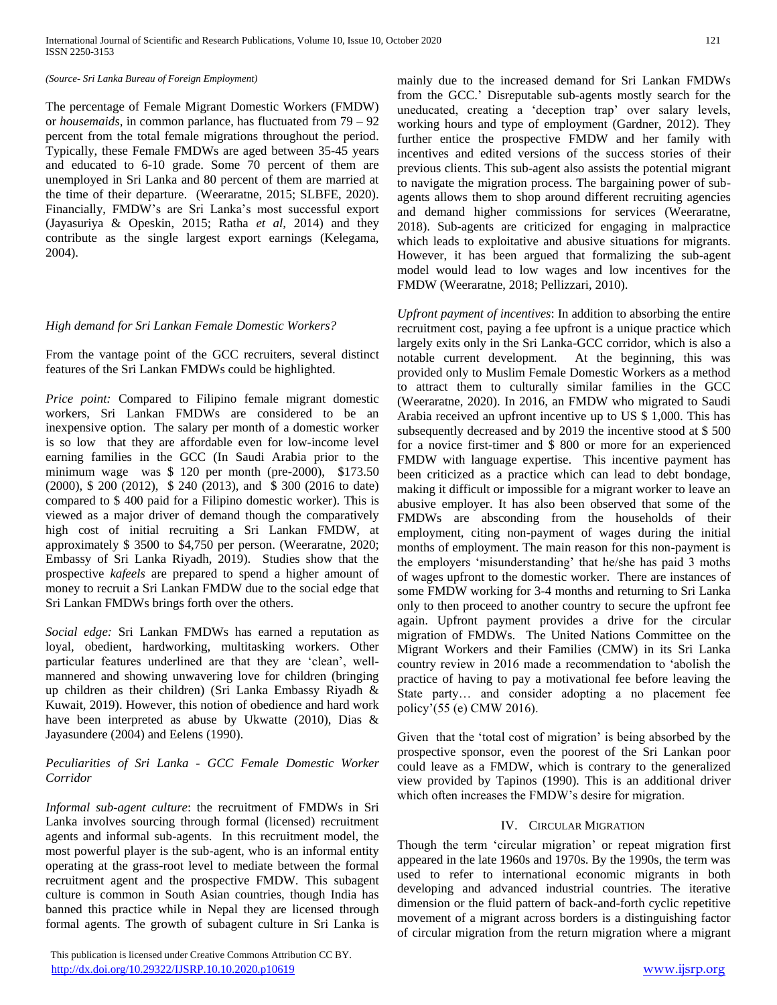#### *(Source- Sri Lanka Bureau of Foreign Employment)*

The percentage of Female Migrant Domestic Workers (FMDW) or *housemaids,* in common parlance, has fluctuated from 79 – 92 percent from the total female migrations throughout the period. Typically, these Female FMDWs are aged between 35-45 years and educated to 6-10 grade. Some 70 percent of them are unemployed in Sri Lanka and 80 percent of them are married at the time of their departure. (Weeraratne, 2015; SLBFE, 2020). Financially, FMDW's are Sri Lanka's most successful export (Jayasuriya & Opeskin, 2015; Ratha *et al,* 2014) and they contribute as the single largest export earnings (Kelegama, 2004).

#### *High demand for Sri Lankan Female Domestic Workers?*

From the vantage point of the GCC recruiters, several distinct features of the Sri Lankan FMDWs could be highlighted.

*Price point:* Compared to Filipino female migrant domestic workers, Sri Lankan FMDWs are considered to be an inexpensive option. The salary per month of a domestic worker is so low that they are affordable even for low-income level earning families in the GCC (In Saudi Arabia prior to the minimum wage was \$ 120 per month (pre-2000), \$173.50 (2000), \$ 200 (2012), \$ 240 (2013), and \$ 300 (2016 to date) compared to \$ 400 paid for a Filipino domestic worker). This is viewed as a major driver of demand though the comparatively high cost of initial recruiting a Sri Lankan FMDW, at approximately \$ 3500 to \$4,750 per person. (Weeraratne, 2020; Embassy of Sri Lanka Riyadh, 2019). Studies show that the prospective *kafeels* are prepared to spend a higher amount of money to recruit a Sri Lankan FMDW due to the social edge that Sri Lankan FMDWs brings forth over the others.

*Social edge:* Sri Lankan FMDWs has earned a reputation as loyal, obedient, hardworking, multitasking workers. Other particular features underlined are that they are 'clean', wellmannered and showing unwavering love for children (bringing up children as their children) (Sri Lanka Embassy Riyadh & Kuwait, 2019). However, this notion of obedience and hard work have been interpreted as abuse by Ukwatte (2010), Dias & Jayasundere (2004) and Eelens (1990).

## *Peculiarities of Sri Lanka - GCC Female Domestic Worker Corridor*

*Informal sub-agent culture*: the recruitment of FMDWs in Sri Lanka involves sourcing through formal (licensed) recruitment agents and informal sub-agents. In this recruitment model, the most powerful player is the sub-agent, who is an informal entity operating at the grass-root level to mediate between the formal recruitment agent and the prospective FMDW. This subagent culture is common in South Asian countries, though India has banned this practice while in Nepal they are licensed through formal agents. The growth of subagent culture in Sri Lanka is

 This publication is licensed under Creative Commons Attribution CC BY. http://dx.doi<u>.org/10.29322/IJSRP.10.10.2020.p10619</u> [www.ijsrp.org](http://ijsrp.org/)

mainly due to the increased demand for Sri Lankan FMDWs from the GCC.' Disreputable sub-agents mostly search for the uneducated, creating a 'deception trap' over salary levels, working hours and type of employment (Gardner, 2012). They further entice the prospective FMDW and her family with incentives and edited versions of the success stories of their previous clients. This sub-agent also assists the potential migrant to navigate the migration process. The bargaining power of subagents allows them to shop around different recruiting agencies and demand higher commissions for services (Weeraratne, 2018). Sub-agents are criticized for engaging in malpractice which leads to exploitative and abusive situations for migrants. However, it has been argued that formalizing the sub-agent model would lead to low wages and low incentives for the FMDW (Weeraratne, 2018; Pellizzari, 2010).

*Upfront payment of incentives*: In addition to absorbing the entire recruitment cost, paying a fee upfront is a unique practice which largely exits only in the Sri Lanka-GCC corridor, which is also a notable current development. At the beginning, this was provided only to Muslim Female Domestic Workers as a method to attract them to culturally similar families in the GCC (Weeraratne, 2020). In 2016, an FMDW who migrated to Saudi Arabia received an upfront incentive up to US \$ 1,000. This has subsequently decreased and by 2019 the incentive stood at \$ 500 for a novice first-timer and \$ 800 or more for an experienced FMDW with language expertise. This incentive payment has been criticized as a practice which can lead to debt bondage, making it difficult or impossible for a migrant worker to leave an abusive employer. It has also been observed that some of the FMDWs are absconding from the households of their employment, citing non-payment of wages during the initial months of employment. The main reason for this non-payment is the employers 'misunderstanding' that he/she has paid 3 moths of wages upfront to the domestic worker. There are instances of some FMDW working for 3-4 months and returning to Sri Lanka only to then proceed to another country to secure the upfront fee again. Upfront payment provides a drive for the circular migration of FMDWs. The United Nations Committee on the Migrant Workers and their Families (CMW) in its Sri Lanka country review in 2016 made a recommendation to 'abolish the practice of having to pay a motivational fee before leaving the State party… and consider adopting a no placement fee policy'(55 (e) CMW 2016).

Given that the 'total cost of migration' is being absorbed by the prospective sponsor, even the poorest of the Sri Lankan poor could leave as a FMDW, which is contrary to the generalized view provided by Tapinos (1990). This is an additional driver which often increases the FMDW's desire for migration.

## IV. CIRCULAR MIGRATION

Though the term 'circular migration' or repeat migration first appeared in the late 1960s and 1970s. By the 1990s, the term was used to refer to international economic migrants in both developing and advanced industrial countries. The iterative dimension or the fluid pattern of back-and-forth cyclic repetitive movement of a migrant across borders is a distinguishing factor of circular migration from the return migration where a migrant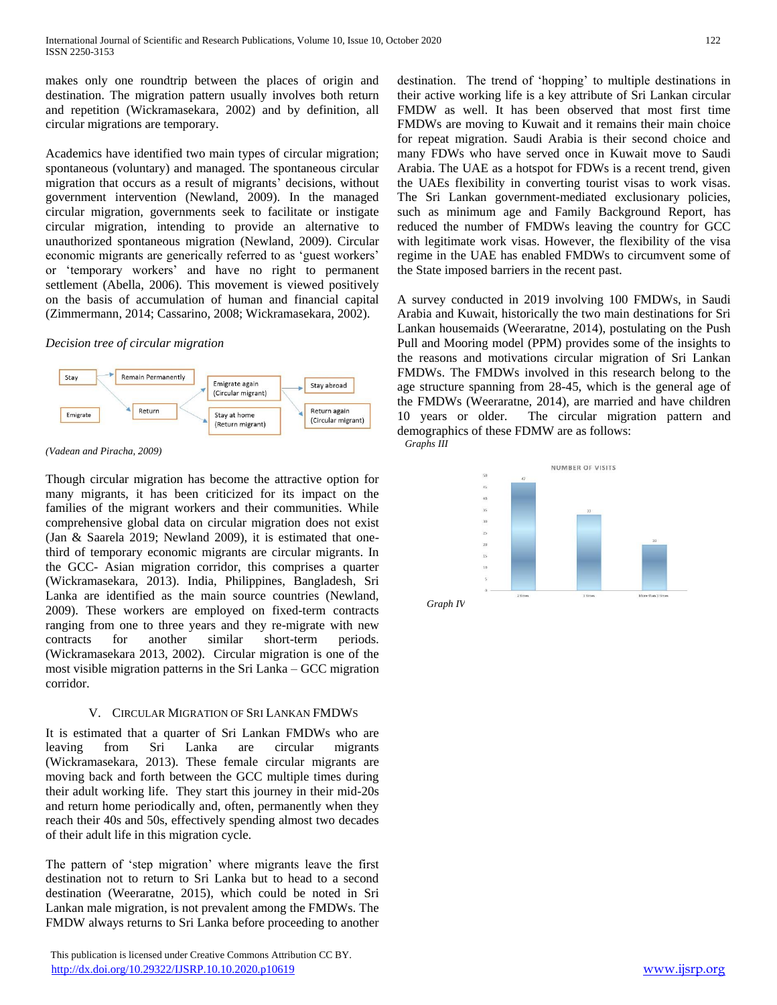makes only one roundtrip between the places of origin and destination. The migration pattern usually involves both return and repetition (Wickramasekara, 2002) and by definition, all circular migrations are temporary.

Academics have identified two main types of circular migration; spontaneous (voluntary) and managed. The spontaneous circular migration that occurs as a result of migrants' decisions, without government intervention (Newland, 2009). In the managed circular migration, governments seek to facilitate or instigate circular migration, intending to provide an alternative to unauthorized spontaneous migration (Newland, 2009). Circular economic migrants are generically referred to as 'guest workers' or 'temporary workers' and have no right to permanent settlement (Abella, 2006). This movement is viewed positively on the basis of accumulation of human and financial capital (Zimmermann, 2014; Cassarino, 2008; Wickramasekara, 2002).

#### *Decision tree of circular migration*



*(Vadean and Piracha, 2009)*

Though circular migration has become the attractive option for many migrants, it has been criticized for its impact on the families of the migrant workers and their communities. While comprehensive global data on circular migration does not exist (Jan & Saarela 2019; Newland 2009), it is estimated that onethird of temporary economic migrants are circular migrants. In the GCC- Asian migration corridor, this comprises a quarter (Wickramasekara, 2013). India, Philippines, Bangladesh, Sri Lanka are identified as the main source countries (Newland, 2009). These workers are employed on fixed-term contracts ranging from one to three years and they re-migrate with new contracts for another similar short-term periods. (Wickramasekara 2013, 2002). Circular migration is one of the most visible migration patterns in the Sri Lanka – GCC migration corridor.

# V. CIRCULAR MIGRATION OF SRI LANKAN FMDWS

It is estimated that a quarter of Sri Lankan FMDWs who are leaving from Sri Lanka are circular migrants (Wickramasekara, 2013). These female circular migrants are moving back and forth between the GCC multiple times during their adult working life. They start this journey in their mid-20s and return home periodically and, often, permanently when they reach their 40s and 50s, effectively spending almost two decades of their adult life in this migration cycle.

The pattern of 'step migration' where migrants leave the first destination not to return to Sri Lanka but to head to a second destination (Weeraratne, 2015), which could be noted in Sri Lankan male migration, is not prevalent among the FMDWs. The FMDW always returns to Sri Lanka before proceeding to another

 This publication is licensed under Creative Commons Attribution CC BY. <http://dx.doi.org/10.29322/IJSRP.10.10.2020.p10619> [www.ijsrp.org](http://ijsrp.org/)

destination. The trend of 'hopping' to multiple destinations in their active working life is a key attribute of Sri Lankan circular FMDW as well. It has been observed that most first time FMDWs are moving to Kuwait and it remains their main choice for repeat migration. Saudi Arabia is their second choice and many FDWs who have served once in Kuwait move to Saudi Arabia. The UAE as a hotspot for FDWs is a recent trend, given the UAEs flexibility in converting tourist visas to work visas. The Sri Lankan government-mediated exclusionary policies, such as minimum age and Family Background Report, has reduced the number of FMDWs leaving the country for GCC with legitimate work visas. However, the flexibility of the visa regime in the UAE has enabled FMDWs to circumvent some of the State imposed barriers in the recent past.

A survey conducted in 2019 involving 100 FMDWs, in Saudi Arabia and Kuwait, historically the two main destinations for Sri Lankan housemaids (Weeraratne, 2014), postulating on the Push Pull and Mooring model (PPM) provides some of the insights to the reasons and motivations circular migration of Sri Lankan FMDWs. The FMDWs involved in this research belong to the age structure spanning from 28-45, which is the general age of the FMDWs (Weeraratne, 2014), are married and have children 10 years or older. The circular migration pattern and demographics of these FDMW are as follows:  *Graphs III*

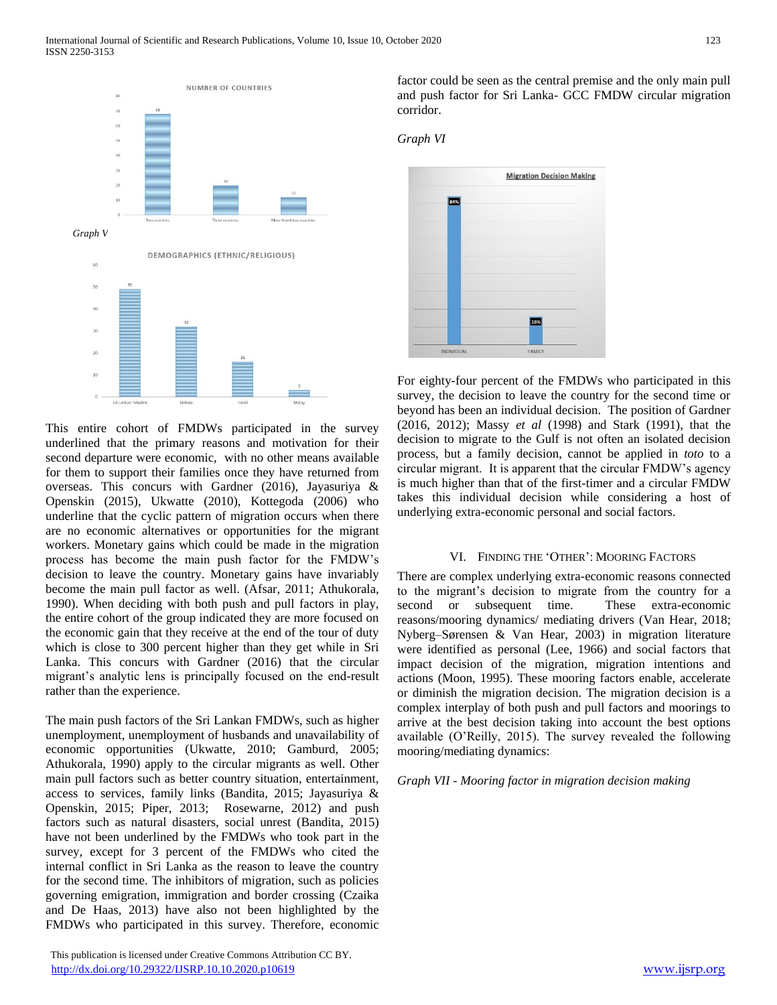

This entire cohort of FMDWs participated in the survey underlined that the primary reasons and motivation for their second departure were economic, with no other means available for them to support their families once they have returned from overseas. This concurs with Gardner (2016), Jayasuriya & Openskin (2015), Ukwatte (2010), Kottegoda (2006) who underline that the cyclic pattern of migration occurs when there are no economic alternatives or opportunities for the migrant workers. Monetary gains which could be made in the migration process has become the main push factor for the FMDW's decision to leave the country. Monetary gains have invariably become the main pull factor as well. (Afsar, 2011; Athukorala, 1990). When deciding with both push and pull factors in play, the entire cohort of the group indicated they are more focused on the economic gain that they receive at the end of the tour of duty which is close to 300 percent higher than they get while in Sri Lanka. This concurs with Gardner (2016) that the circular migrant's analytic lens is principally focused on the end-result rather than the experience.

The main push factors of the Sri Lankan FMDWs, such as higher unemployment, unemployment of husbands and unavailability of economic opportunities (Ukwatte, 2010; Gamburd, 2005; Athukorala, 1990) apply to the circular migrants as well. Other main pull factors such as better country situation, entertainment, access to services, family links (Bandita, 2015; Jayasuriya & Openskin, 2015; Piper, 2013; Rosewarne, 2012) and push factors such as natural disasters, social unrest (Bandita, 2015) have not been underlined by the FMDWs who took part in the survey, except for 3 percent of the FMDWs who cited the internal conflict in Sri Lanka as the reason to leave the country for the second time. The inhibitors of migration, such as policies governing emigration, immigration and border crossing (Czaika and De Haas, 2013) have also not been highlighted by the FMDWs who participated in this survey. Therefore, economic

 This publication is licensed under Creative Commons Attribution CC BY. <http://dx.doi.org/10.29322/IJSRP.10.10.2020.p10619> [www.ijsrp.org](http://ijsrp.org/)

factor could be seen as the central premise and the only main pull and push factor for Sri Lanka- GCC FMDW circular migration corridor.

*Graph VI*



For eighty-four percent of the FMDWs who participated in this survey, the decision to leave the country for the second time or beyond has been an individual decision. The position of Gardner (2016, 2012); Massy *et al* (1998) and Stark (1991), that the decision to migrate to the Gulf is not often an isolated decision process, but a family decision, cannot be applied in *toto* to a circular migrant. It is apparent that the circular FMDW's agency is much higher than that of the first-timer and a circular FMDW takes this individual decision while considering a host of underlying extra-economic personal and social factors.

#### VI. FINDING THE 'OTHER': MOORING FACTORS

There are complex underlying extra-economic reasons connected to the migrant's decision to migrate from the country for a second or subsequent time. These extra-economic reasons/mooring dynamics/ mediating drivers (Van Hear, 2018; Nyberg–Sørensen & Van Hear, 2003) in migration literature were identified as personal (Lee, 1966) and social factors that impact decision of the migration, migration intentions and actions (Moon, 1995). These mooring factors enable, accelerate or diminish the migration decision. The migration decision is a complex interplay of both push and pull factors and moorings to arrive at the best decision taking into account the best options available (O'Reilly, 2015). The survey revealed the following mooring/mediating dynamics:

*Graph VII - Mooring factor in migration decision making*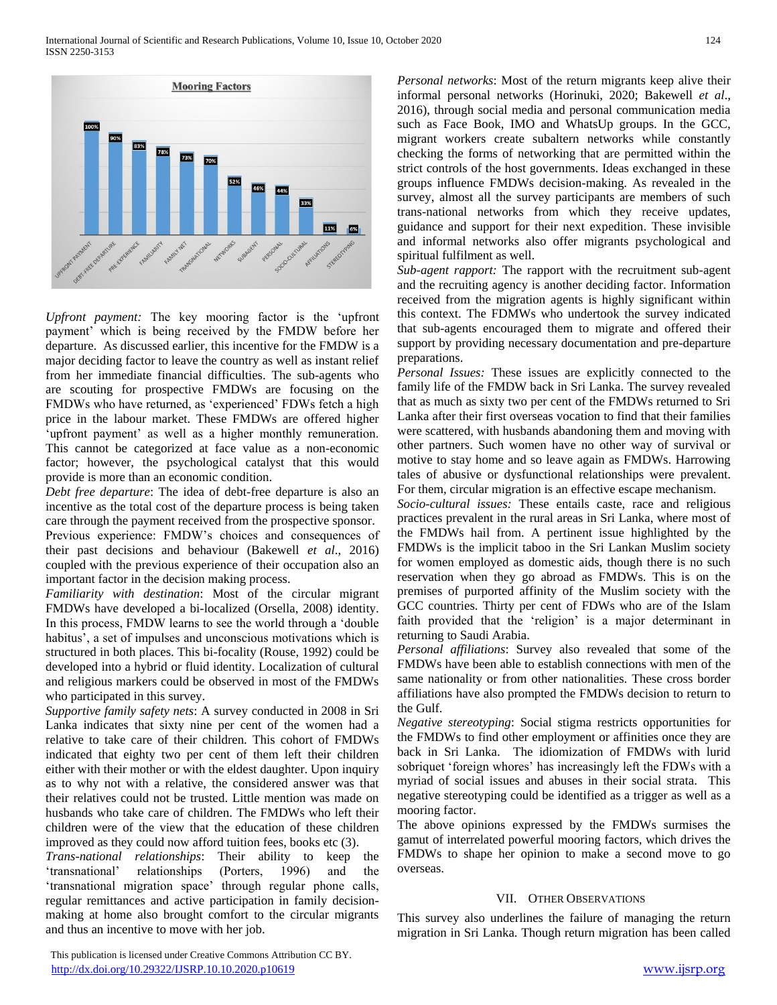

*Upfront payment:* The key mooring factor is the 'upfront payment' which is being received by the FMDW before her departure. As discussed earlier, this incentive for the FMDW is a major deciding factor to leave the country as well as instant relief from her immediate financial difficulties. The sub-agents who are scouting for prospective FMDWs are focusing on the FMDWs who have returned, as 'experienced' FDWs fetch a high price in the labour market. These FMDWs are offered higher 'upfront payment' as well as a higher monthly remuneration. This cannot be categorized at face value as a non-economic factor; however, the psychological catalyst that this would provide is more than an economic condition.

*Debt free departure*: The idea of debt-free departure is also an incentive as the total cost of the departure process is being taken care through the payment received from the prospective sponsor. Previous experience: FMDW's choices and consequences of their past decisions and behaviour (Bakewell *et al*., 2016) coupled with the previous experience of their occupation also an

important factor in the decision making process. *Familiarity with destination*: Most of the circular migrant FMDWs have developed a bi-localized (Orsella, 2008) identity. In this process, FMDW learns to see the world through a 'double habitus', a set of impulses and unconscious motivations which is structured in both places. This bi-focality (Rouse, 1992) could be developed into a hybrid or fluid identity. Localization of cultural and religious markers could be observed in most of the FMDWs who participated in this survey.

*Supportive family safety nets*: A survey conducted in 2008 in Sri Lanka indicates that sixty nine per cent of the women had a relative to take care of their children. This cohort of FMDWs indicated that eighty two per cent of them left their children either with their mother or with the eldest daughter. Upon inquiry as to why not with a relative, the considered answer was that their relatives could not be trusted. Little mention was made on husbands who take care of children. The FMDWs who left their children were of the view that the education of these children improved as they could now afford tuition fees, books etc (3).

*Trans-national relationships*: Their ability to keep the 'transnational' relationships (Porters, 1996) and the 'transnational migration space' through regular phone calls, regular remittances and active participation in family decisionmaking at home also brought comfort to the circular migrants and thus an incentive to move with her job.

*Personal networks*: Most of the return migrants keep alive their informal personal networks (Horinuki, 2020; Bakewell *et al*., 2016), through social media and personal communication media such as Face Book, IMO and WhatsUp groups. In the GCC, migrant workers create subaltern networks while constantly checking the forms of networking that are permitted within the strict controls of the host governments. Ideas exchanged in these groups influence FMDWs decision-making. As revealed in the survey, almost all the survey participants are members of such trans-national networks from which they receive updates, guidance and support for their next expedition. These invisible and informal networks also offer migrants psychological and spiritual fulfilment as well.

*Sub-agent rapport:* The rapport with the recruitment sub-agent and the recruiting agency is another deciding factor. Information received from the migration agents is highly significant within this context. The FDMWs who undertook the survey indicated that sub-agents encouraged them to migrate and offered their support by providing necessary documentation and pre-departure preparations.

*Personal Issues:* These issues are explicitly connected to the family life of the FMDW back in Sri Lanka. The survey revealed that as much as sixty two per cent of the FMDWs returned to Sri Lanka after their first overseas vocation to find that their families were scattered, with husbands abandoning them and moving with other partners. Such women have no other way of survival or motive to stay home and so leave again as FMDWs. Harrowing tales of abusive or dysfunctional relationships were prevalent. For them, circular migration is an effective escape mechanism.

*Socio-cultural issues:* These entails caste, race and religious practices prevalent in the rural areas in Sri Lanka, where most of the FMDWs hail from. A pertinent issue highlighted by the FMDWs is the implicit taboo in the Sri Lankan Muslim society for women employed as domestic aids, though there is no such reservation when they go abroad as FMDWs. This is on the premises of purported affinity of the Muslim society with the GCC countries. Thirty per cent of FDWs who are of the Islam faith provided that the 'religion' is a major determinant in returning to Saudi Arabia.

*Personal affiliations*: Survey also revealed that some of the FMDWs have been able to establish connections with men of the same nationality or from other nationalities. These cross border affiliations have also prompted the FMDWs decision to return to the Gulf.

*Negative stereotyping*: Social stigma restricts opportunities for the FMDWs to find other employment or affinities once they are back in Sri Lanka. The idiomization of FMDWs with lurid sobriquet 'foreign whores' has increasingly left the FDWs with a myriad of social issues and abuses in their social strata. This negative stereotyping could be identified as a trigger as well as a mooring factor.

The above opinions expressed by the FMDWs surmises the gamut of interrelated powerful mooring factors, which drives the FMDWs to shape her opinion to make a second move to go overseas.

# VII. OTHER OBSERVATIONS

This survey also underlines the failure of managing the return migration in Sri Lanka. Though return migration has been called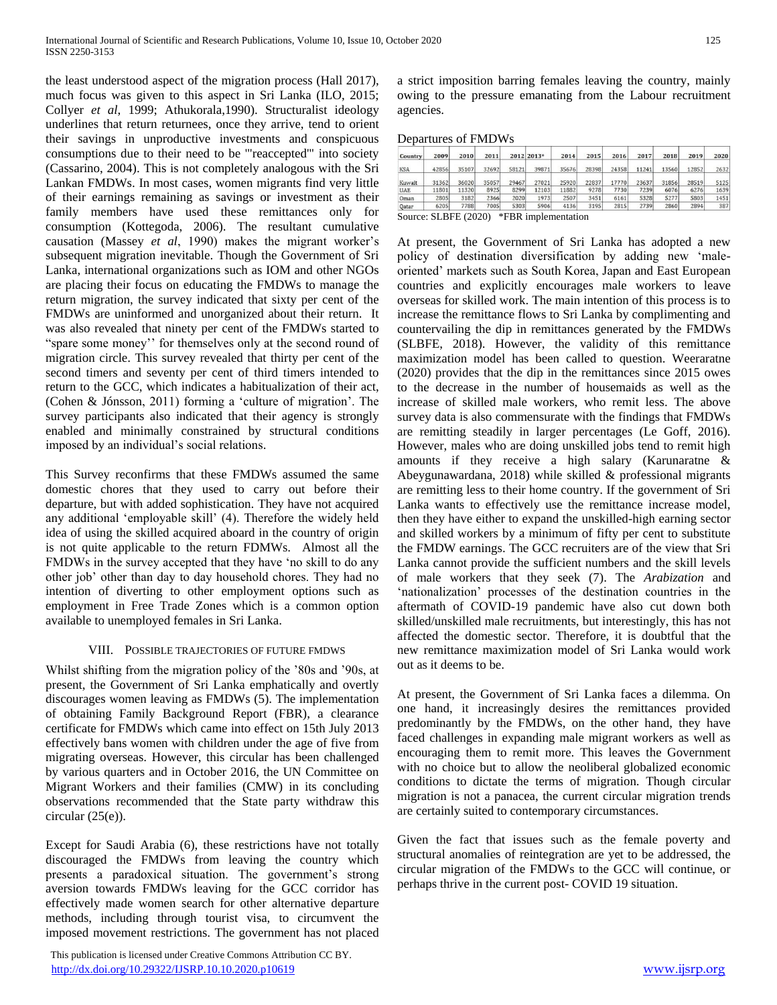the least understood aspect of the migration process (Hall 2017), much focus was given to this aspect in Sri Lanka (ILO, 2015; Collyer *et al*, 1999; Athukorala,1990). Structuralist ideology underlines that return returnees, once they arrive, tend to orient their savings in unproductive investments and conspicuous consumptions due to their need to be '"reaccepted'" into society (Cassarino, 2004). This is not completely analogous with the Sri Lankan FMDWs. In most cases, women migrants find very little of their earnings remaining as savings or investment as their family members have used these remittances only for consumption (Kottegoda, 2006). The resultant cumulative causation (Massey *et al*, 1990) makes the migrant worker's subsequent migration inevitable. Though the Government of Sri Lanka, international organizations such as IOM and other NGOs are placing their focus on educating the FMDWs to manage the return migration, the survey indicated that sixty per cent of the FMDWs are uninformed and unorganized about their return. It was also revealed that ninety per cent of the FMDWs started to "spare some money'' for themselves only at the second round of migration circle. This survey revealed that thirty per cent of the second timers and seventy per cent of third timers intended to return to the GCC, which indicates a habitualization of their act, (Cohen & Jónsson, 2011) forming a 'culture of migration'. The survey participants also indicated that their agency is strongly enabled and minimally constrained by structural conditions imposed by an individual's social relations.

This Survey reconfirms that these FMDWs assumed the same domestic chores that they used to carry out before their departure, but with added sophistication. They have not acquired any additional 'employable skill' (4). Therefore the widely held idea of using the skilled acquired aboard in the country of origin is not quite applicable to the return FDMWs. Almost all the FMDWs in the survey accepted that they have 'no skill to do any other job' other than day to day household chores. They had no intention of diverting to other employment options such as employment in Free Trade Zones which is a common option available to unemployed females in Sri Lanka.

## VIII. POSSIBLE TRAJECTORIES OF FUTURE FMDWS

Whilst shifting from the migration policy of the '80s and '90s, at present, the Government of Sri Lanka emphatically and overtly discourages women leaving as FMDWs (5). The implementation of obtaining Family Background Report (FBR), a clearance certificate for FMDWs which came into effect on 15th July 2013 effectively bans women with children under the age of five from migrating overseas. However, this circular has been challenged by various quarters and in October 2016, the UN Committee on Migrant Workers and their families (CMW) in its concluding observations recommended that the State party withdraw this circular  $(25(e))$ .

Except for Saudi Arabia (6), these restrictions have not totally discouraged the FMDWs from leaving the country which presents a paradoxical situation. The government's strong aversion towards FMDWs leaving for the GCC corridor has effectively made women search for other alternative departure methods, including through tourist visa, to circumvent the imposed movement restrictions. The government has not placed

 This publication is licensed under Creative Commons Attribution CC BY. <http://dx.doi.org/10.29322/IJSRP.10.10.2020.p10619> [www.ijsrp.org](http://ijsrp.org/)

a strict imposition barring females leaving the country, mainly owing to the pressure emanating from the Labour recruitment agencies.

#### Departures of FMDWs

| Country    | 2009  | 2010  | 2011  |       | 2012 2013* | 2014  | 2015  | 2016  | 2017  | 2018  | 2019  | 2020 |
|------------|-------|-------|-------|-------|------------|-------|-------|-------|-------|-------|-------|------|
| <b>KSA</b> | 42856 | 35107 | 32692 | 58121 | 39871      | 35676 | 28398 | 24358 | 11241 | 13560 | 12852 | 2632 |
| Kuwait     | 31362 | 36020 | 35057 | 29467 | 27021      | 25920 | 22837 | 17770 | 23637 | 31856 | 28519 | 5125 |
| <b>UAE</b> | 11801 | 11320 | 8925  | 8299  | 12103      | 11882 | 9278  | 7730  | 7239  | 6076  | 6276  | 1639 |
| Oman       | 2805  | 3182  | 2366  | 2020  | 1973       | 2507  | 3451  | 6161  | 5328  | 5277  | 5803  | 1451 |
| Qatar      | 6205  | 7788  | 7005  | 5303  | 5906       | 4136  | 3195  | 2815  | 2739  | 2860  | 2894  | 387  |

Source: SLBFE (2020) \*FBR implementation

At present, the Government of Sri Lanka has adopted a new policy of destination diversification by adding new 'maleoriented' markets such as South Korea, Japan and East European countries and explicitly encourages male workers to leave overseas for skilled work. The main intention of this process is to increase the remittance flows to Sri Lanka by complimenting and countervailing the dip in remittances generated by the FMDWs (SLBFE, 2018). However, the validity of this remittance maximization model has been called to question. Weeraratne (2020) provides that the dip in the remittances since 2015 owes to the decrease in the number of housemaids as well as the increase of skilled male workers, who remit less. The above survey data is also commensurate with the findings that FMDWs are remitting steadily in larger percentages (Le Goff, 2016). However, males who are doing unskilled jobs tend to remit high amounts if they receive a high salary (Karunaratne & Abeygunawardana, 2018) while skilled & professional migrants are remitting less to their home country. If the government of Sri Lanka wants to effectively use the remittance increase model, then they have either to expand the unskilled-high earning sector and skilled workers by a minimum of fifty per cent to substitute the FMDW earnings. The GCC recruiters are of the view that Sri Lanka cannot provide the sufficient numbers and the skill levels of male workers that they seek (7). The *Arabization* and 'nationalization' processes of the destination countries in the aftermath of COVID-19 pandemic have also cut down both skilled/unskilled male recruitments, but interestingly, this has not affected the domestic sector. Therefore, it is doubtful that the new remittance maximization model of Sri Lanka would work out as it deems to be.

At present, the Government of Sri Lanka faces a dilemma. On one hand, it increasingly desires the remittances provided predominantly by the FMDWs, on the other hand, they have faced challenges in expanding male migrant workers as well as encouraging them to remit more. This leaves the Government with no choice but to allow the neoliberal globalized economic conditions to dictate the terms of migration. Though circular migration is not a panacea, the current circular migration trends are certainly suited to contemporary circumstances.

Given the fact that issues such as the female poverty and structural anomalies of reintegration are yet to be addressed, the circular migration of the FMDWs to the GCC will continue, or perhaps thrive in the current post- COVID 19 situation.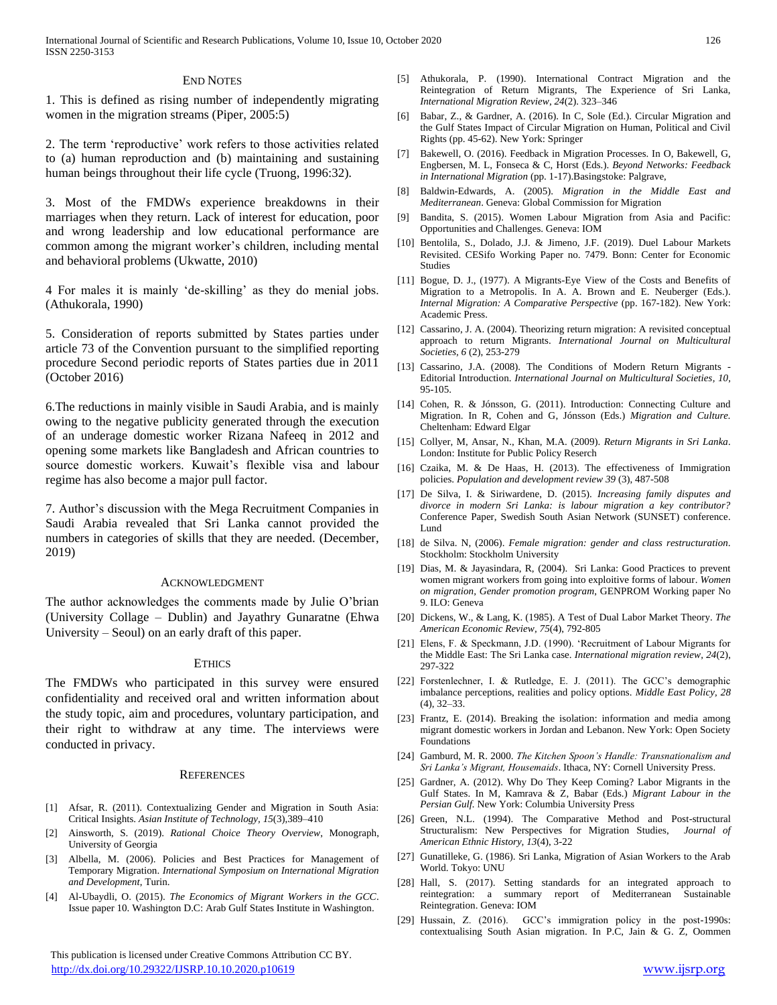#### END NOTES

1. This is defined as rising number of independently migrating women in the migration streams (Piper, 2005:5)

2. The term 'reproductive' work refers to those activities related to (a) human reproduction and (b) maintaining and sustaining human beings throughout their life cycle (Truong, 1996:32).

3. Most of the FMDWs experience breakdowns in their marriages when they return. Lack of interest for education, poor and wrong leadership and low educational performance are common among the migrant worker's children, including mental and behavioral problems (Ukwatte, 2010)

4 For males it is mainly 'de-skilling' as they do menial jobs. (Athukorala, 1990)

5. Consideration of reports submitted by States parties under article 73 of the Convention pursuant to the simplified reporting procedure Second periodic reports of States parties due in 2011 (October 2016)

6.The reductions in mainly visible in Saudi Arabia, and is mainly owing to the negative publicity generated through the execution of an underage domestic worker Rizana Nafeeq in 2012 and opening some markets like Bangladesh and African countries to source domestic workers. Kuwait's flexible visa and labour regime has also become a major pull factor.

7. Author's discussion with the Mega Recruitment Companies in Saudi Arabia revealed that Sri Lanka cannot provided the numbers in categories of skills that they are needed. (December, 2019)

#### ACKNOWLEDGMENT

The author acknowledges the comments made by Julie O'brian (University Collage – Dublin) and Jayathry Gunaratne (Ehwa University – Seoul) on an early draft of this paper.

#### **ETHICS**

The FMDWs who participated in this survey were ensured confidentiality and received oral and written information about the study topic, aim and procedures, voluntary participation, and their right to withdraw at any time. The interviews were conducted in privacy.

#### **REFERENCES**

- [1] Afsar, R. (2011). Contextualizing Gender and Migration in South Asia: Critical Insights. *Asian Institute of Technology, 15*(3),389–410
- [2] Ainsworth, S. (2019). *Rational Choice Theory Overview*, Monograph, University of Georgia
- [3] Albella, M. (2006). Policies and Best Practices for Management of Temporary Migration. *International Symposium on International Migration and Development*, Turin.
- [4] Al-Ubaydli, O. (2015). *The Economics of Migrant Workers in the GCC*. Issue paper 10. Washington D.C: Arab Gulf States Institute in Washington.

 This publication is licensed under Creative Commons Attribution CC BY. <http://dx.doi.org/10.29322/IJSRP.10.10.2020.p10619> [www.ijsrp.org](http://ijsrp.org/)

- [5] Athukorala, P. (1990). International Contract Migration and the Reintegration of Return Migrants, The Experience of Sri Lanka, *International Migration Review*, *24*(2). 323–346
- [6] Babar, Z., & Gardner, A. (2016). In C, Sole (Ed.). Circular Migration and the Gulf States Impact of Circular Migration on Human, Political and Civil Rights (pp. 45-62). New York: Springer
- [7] Bakewell, O. (2016). Feedback in Migration Processes. In O, Bakewell, G, Engbersen, M. L, Fonseca & C, Horst (Eds.). *Beyond Networks: Feedback in International Migration* (pp. 1-17).Basingstoke: Palgrave,
- [8] Baldwin-Edwards, A. (2005). *Migration in the Middle East and Mediterranean*. Geneva: Global Commission for Migration
- [9] Bandita, S. (2015). Women Labour Migration from Asia and Pacific: Opportunities and Challenges. Geneva: IOM
- [10] Bentolila, S., Dolado, J.J. & Jimeno, J.F. (2019). Duel Labour Markets Revisited. CESifo Working Paper no. 7479. Bonn: Center for Economic Studies
- [11] Bogue, D. J., (1977). A Migrants-Eye View of the Costs and Benefits of Migration to a Metropolis. In A. A. Brown and E. Neuberger (Eds.). *Internal Migration: A Comparative Perspective* (pp. 167-182). New York: Academic Press.
- [12] Cassarino, J. A. (2004). Theorizing return migration: A revisited conceptual approach to return Migrants. *International Journal on Multicultural Societies, 6* (2), 253-279
- [13] Cassarino, J.A. (2008). The Conditions of Modern Return Migrants -Editorial Introduction. *International Journal on Multicultural Societies, 10,* 95-105.
- [14] Cohen, R. & Jónsson, G. (2011). Introduction: Connecting Culture and Migration. In R, Cohen and G, Jónsson (Eds.) *Migration and Culture.* Cheltenham: Edward Elgar
- [15] Collyer, M, Ansar, N., Khan, M.A. (2009). *Return Migrants in Sri Lanka*. London: Institute for Public Policy Reserch
- [16] Czaika, M. & De Haas, H. (2013). The effectiveness of Immigration policies. *Population and development review 39* (3), 487-508
- [17] De Silva, I. & Siriwardene, D. (2015). *Increasing family disputes and divorce in modern Sri Lanka: is labour migration a key contributor?* Conference Paper, Swedish South Asian Network (SUNSET) conference. Lund
- [18] de Silva. N, (2006). *Female migration: gender and class restructuration.* Stockholm: Stockholm University
- [19] Dias, M. & Jayasindara, R, (2004). Sri Lanka: Good Practices to prevent women migrant workers from going into exploitive forms of labour. *Women on migration, Gender promotion program*, GENPROM Working paper No 9. ILO: Geneva
- [20] Dickens, W., & Lang, K. (1985). A Test of Dual Labor Market Theory. *The American Economic Review, 75*(4), 792-805
- [21] Elens, F. & Speckmann, J.D. (1990). 'Recruitment of Labour Migrants for the Middle East: The Sri Lanka case. *International migration review, 24*(2), 297-322
- [22] Forstenlechner, I. & Rutledge, E. J. (2011). The GCC's demographic imbalance perceptions, realities and policy options. *Middle East Policy, 28* (4), 32–33.
- [23] Frantz, E. (2014). Breaking the isolation: information and media among migrant domestic workers in Jordan and Lebanon. New York: Open Society Foundations
- [24] Gamburd, M. R. 2000. *The Kitchen Spoon's Handle: Transnationalism and Sri Lanka's Migrant, Housemaids*. Ithaca, NY: Cornell University Press.
- [25] Gardner, A. (2012). Why Do They Keep Coming? Labor Migrants in the Gulf States. In M, Kamrava & Z, Babar (Eds.) *Migrant Labour in the Persian Gulf.* New York: Columbia University Press
- [26] Green, N.L. (1994). The Comparative Method and Post-structural Structuralism: New Perspectives for Migration Studies, *Journal of American Ethnic History, 13*(4), 3-22
- [27] Gunatilleke, G. (1986). Sri Lanka, Migration of Asian Workers to the Arab World. Tokyo: UNU
- [28] Hall, S. (2017). Setting standards for an integrated approach to reintegration: a summary report of Mediterranean Sustainable Reintegration. Geneva: IOM
- [29] Hussain, Z. (2016). GCC's immigration policy in the post-1990s: contextualising South Asian migration. In P.C, Jain & G. Z, Oommen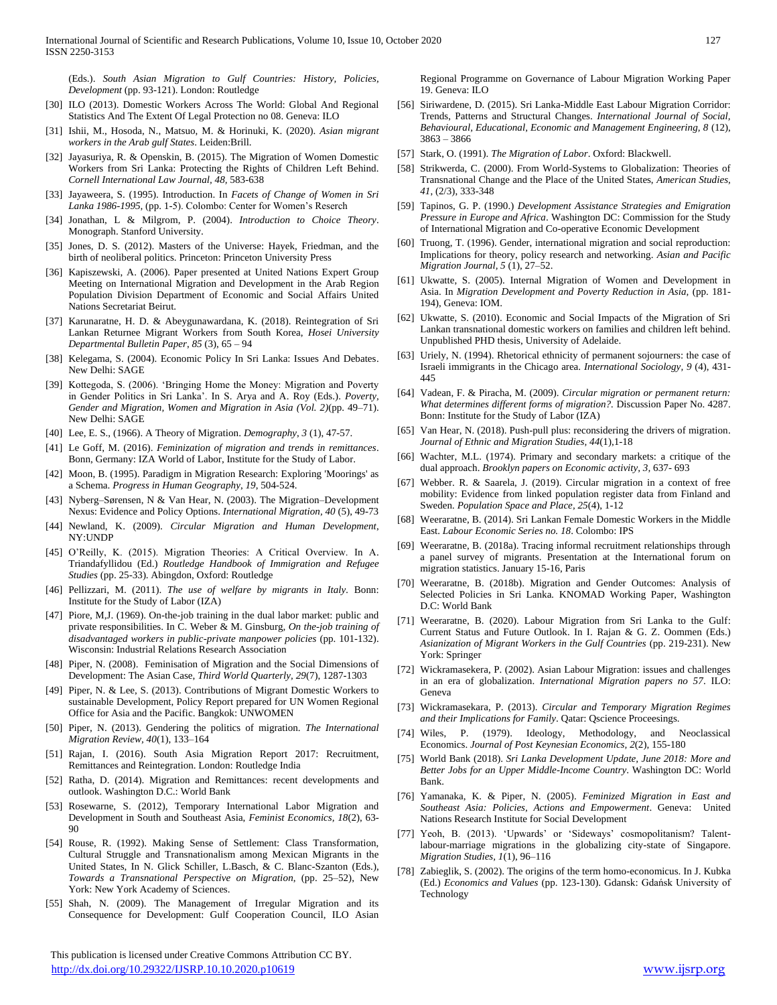(Eds.). *South Asian Migration to Gulf Countries: History, Policies, Development* (pp. 93-121). London: Routledge

- [30] ILO (2013). Domestic Workers Across The World: Global And Regional Statistics And The Extent Of Legal Protection no 08. Geneva: ILO
- [31] Ishii, M., Hosoda, N., Matsuo, M. & Horinuki, K. (2020). *Asian migrant workers in the Arab gulf States*. Leiden:Brill.
- [32] Jayasuriya, R. & Openskin, B. (2015). The Migration of Women Domestic Workers from Sri Lanka: Protecting the Rights of Children Left Behind. *Cornell International Law Journal, 48,* 583-638
- [33] Jayaweera, S. (1995). Introduction. In *Facets of Change of Women in Sri Lanka 1986-1995,* (pp. 1-5). Colombo: Center for Women's Reserch
- [34] Jonathan, L & Milgrom, P. (2004). *Introduction to Choice Theory*. Monograph. Stanford University.
- [35] Jones, D. S. (2012). Masters of the Universe: Hayek, Friedman, and the birth of neoliberal politics. Princeton: Princeton University Press
- [36] Kapiszewski, A. (2006). Paper presented at United Nations Expert Group Meeting on International Migration and Development in the Arab Region Population Division Department of Economic and Social Affairs United Nations Secretariat Beirut.
- [37] Karunaratne, H. D. & Abeygunawardana, K. (2018). Reintegration of Sri Lankan Returnee Migrant Workers from South Korea, *Hosei University Departmental Bulletin Paper*, *85* (3), 65 – 94
- [38] Kelegama, S. (2004). Economic Policy In Sri Lanka: Issues And Debates. New Delhi: SAGE
- [39] Kottegoda, S. (2006). 'Bringing Home the Money: Migration and Poverty in Gender Politics in Sri Lanka'. In S. Arya and A. Roy (Eds.). *Poverty, Gender and Migration, Women and Migration in Asia (Vol. 2)*(pp. 49–71). New Delhi: SAGE
- [40] Lee, E. S., (1966). A Theory of Migration. *Demography*, *3* (1), 47-57.
- [41] Le Goff, M. (2016). *Feminization of migration and trends in remittances*. Bonn, Germany: IZA World of Labor, Institute for the Study of Labor.
- [42] Moon, B. (1995). Paradigm in Migration Research: Exploring 'Moorings' as a Schema. *Progress in Human Geography*, *19*, 504-524.
- [43] Nyberg–Sørensen, N & Van Hear, N. (2003). The Migration–Development Nexus: Evidence and Policy Options. *International Migration, 40* (5), 49-73
- [44] Newland, K. (2009). *Circular Migration and Human Development*, NY:UNDP
- [45] O'Reilly, K. (2015). Migration Theories: A Critical Overview. In A. Triandafyllidou (Ed.) *Routledge Handbook of Immigration and Refugee Studies* (pp. 25-33). Abingdon, Oxford: Routledge
- [46] Pellizzari, M. (2011). *The use of welfare by migrants in Italy.* Bonn: Institute for the Study of Labor (IZA)
- [47] Piore, M,J. (1969). On-the-job training in the dual labor market: public and private responsibilities. In C. Weber & M. Ginsburg, *On the-job training of disadvantaged workers in public-private manpower policies* (pp. 101-132). Wisconsin: Industrial Relations Research Association
- [48] Piper, N. (2008). Feminisation of Migration and the Social Dimensions of Development: The Asian Case, *Third World Quarterly, 29*(7), 1287-1303
- [49] Piper, N. & Lee, S. (2013). Contributions of Migrant Domestic Workers to sustainable Development, Policy Report prepared for UN Women Regional Office for Asia and the Pacific. Bangkok: UNWOMEN
- [50] Piper, N. (2013). Gendering the politics of migration. *The International Migration Review, 40*(1), 133–164
- [51] Rajan, I. (2016). South Asia Migration Report 2017: Recruitment, Remittances and Reintegration. London: Routledge India
- [52] Ratha, D. (2014). Migration and Remittances: recent developments and outlook. Washington D.C.: World Bank
- [53] Rosewarne, S. (2012), Temporary International Labor Migration and Development in South and Southeast Asia, *Feminist Economics, 18*(2), 63- 90
- [54] Rouse, R. (1992). Making Sense of Settlement: Class Transformation, Cultural Struggle and Transnationalism among Mexican Migrants in the United States, In N. Glick Schiller, L.Basch, & C. Blanc-Szanton (Eds.), *Towards a Transnational Perspective on Migration*, (pp. 25–52), New York: New York Academy of Sciences.
- [55] Shah, N. (2009). The Management of Irregular Migration and its Consequence for Development: Gulf Cooperation Council, ILO Asian

 This publication is licensed under Creative Commons Attribution CC BY. <http://dx.doi.org/10.29322/IJSRP.10.10.2020.p10619> [www.ijsrp.org](http://ijsrp.org/)

Regional Programme on Governance of Labour Migration Working Paper 19. Geneva: ILO

- [56] Siriwardene, D. (2015). Sri Lanka-Middle East Labour Migration Corridor: Trends, Patterns and Structural Changes. *International Journal of Social, Behavioural, Educational, Economic and Management Engineering, 8* (12),  $3863 - 3866$
- [57] Stark, O. (1991). *The Migration of Labor*. Oxford: Blackwell.
- [58] Strikwerda, C. (2000). From World-Systems to Globalization: Theories of Transnational Change and the Place of the United States, *American Studies, 41*, (2/3), 333-348
- [59] Tapinos, G. P. (1990.) *Development Assistance Strategies and Emigration Pressure in Europe and Africa*. Washington DC: Commission for the Study of International Migration and Co-operative Economic Development
- [60] Truong, T. (1996). Gender, international migration and social reproduction: Implications for theory, policy research and networking. *Asian and Pacific Migration Journal, 5* (1), 27–52.
- [61] Ukwatte, S. (2005). Internal Migration of Women and Development in Asia. In *Migration Development and Poverty Reduction in Asia,* (pp. 181- 194), Geneva: IOM.
- [62] Ukwatte, S. (2010). Economic and Social Impacts of the Migration of Sri Lankan transnational domestic workers on families and children left behind. Unpublished PHD thesis, University of Adelaide.
- [63] Uriely, N. (1994). Rhetorical ethnicity of permanent sojourners: the case of Israeli immigrants in the Chicago area. *International Sociology, 9* (4), 431- 445
- [64] Vadean, F. & Piracha, M. (2009). *Circular migration or permanent return: What determines different forms of migration?.* Discussion Paper No. 4287. Bonn: Institute for the Study of Labor (IZA)
- [65] Van Hear, N. (2018). Push-pull plus: reconsidering the drivers of migration. *Journal of Ethnic and Migration Studies, 44*(1),1-18
- [66] Wachter, M.L. (1974). Primary and secondary markets: a critique of the dual approach. *Brooklyn papers on Economic activity, 3,* 637- 693
- [67] Webber. R. & Saarela, J. (2019). Circular migration in a context of free mobility: Evidence from linked population register data from Finland and Sweden*. Population Space and Place, 25*(4), 1-12
- [68] Weeraratne, B. (2014). Sri Lankan Female Domestic Workers in the Middle East. *Labour Economic Series no. 18*. Colombo: IPS
- [69] Weeraratne, B. (2018a). Tracing informal recruitment relationships through a panel survey of migrants. Presentation at the International forum on migration statistics. January 15-16, Paris
- [70] Weeraratne, B. (2018b). Migration and Gender Outcomes: Analysis of Selected Policies in Sri Lanka*.* KNOMAD Working Paper, Washington D.C: World Bank
- [71] Weeraratne, B. (2020). Labour Migration from Sri Lanka to the Gulf: Current Status and Future Outlook. In I. Rajan & G. Z. Oommen (Eds.) *Asianization of Migrant Workers in the Gulf Countries* (pp. 219-231). New York: Springer
- [72] Wickramasekera, P. (2002). Asian Labour Migration: issues and challenges in an era of globalization. *International Migration papers no 57*. ILO: Geneva
- [73] Wickramasekara, P. (2013). *Circular and Temporary Migration Regimes and their Implications for Family*. Qatar: Qscience Proceesings.
- [74] Wiles, P. (1979). Ideology, Methodology, and Neoclassical Economics. *Journal of Post Keynesian Economics, 2*(2), 155-180
- [75] World Bank (2018). *Sri Lanka Development Update, June 2018: More and Better Jobs for an Upper Middle-Income Country*. Washington DC: World Bank.
- [76] Yamanaka, K. & Piper, N. (2005). *Feminized Migration in East and Southeast Asia: Policies, Actions and Empowerment*. Geneva: United Nations Research Institute for Social Development
- [77] Yeoh, B. (2013). 'Upwards' or 'Sideways' cosmopolitanism? Talentlabour-marriage migrations in the globalizing city-state of Singapore. *Migration Studies, 1*(1), 96–116
- [78] Zabieglik, S. (2002). The origins of the term homo-economicus. In J. Kubka (Ed.) *Economics and Values* (pp. 123-130). Gdansk: Gdańsk University of Technology